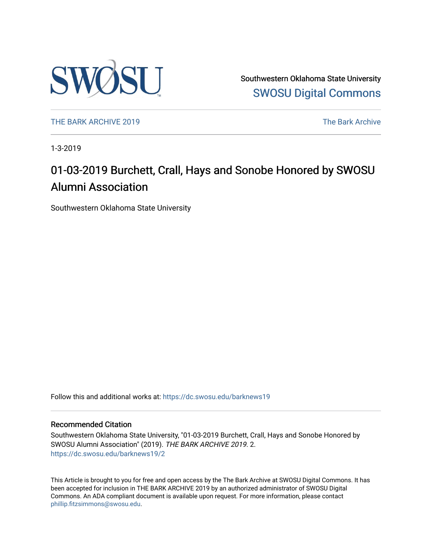

Southwestern Oklahoma State University [SWOSU Digital Commons](https://dc.swosu.edu/) 

[THE BARK ARCHIVE 2019](https://dc.swosu.edu/barknews19) The Bark Archive

1-3-2019

### 01-03-2019 Burchett, Crall, Hays and Sonobe Honored by SWOSU Alumni Association

Southwestern Oklahoma State University

Follow this and additional works at: [https://dc.swosu.edu/barknews19](https://dc.swosu.edu/barknews19?utm_source=dc.swosu.edu%2Fbarknews19%2F2&utm_medium=PDF&utm_campaign=PDFCoverPages)

#### Recommended Citation

Southwestern Oklahoma State University, "01-03-2019 Burchett, Crall, Hays and Sonobe Honored by SWOSU Alumni Association" (2019). THE BARK ARCHIVE 2019. 2. [https://dc.swosu.edu/barknews19/2](https://dc.swosu.edu/barknews19/2?utm_source=dc.swosu.edu%2Fbarknews19%2F2&utm_medium=PDF&utm_campaign=PDFCoverPages) 

This Article is brought to you for free and open access by the The Bark Archive at SWOSU Digital Commons. It has been accepted for inclusion in THE BARK ARCHIVE 2019 by an authorized administrator of SWOSU Digital Commons. An ADA compliant document is available upon request. For more information, please contact [phillip.fitzsimmons@swosu.edu](mailto:phillip.fitzsimmons@swosu.edu).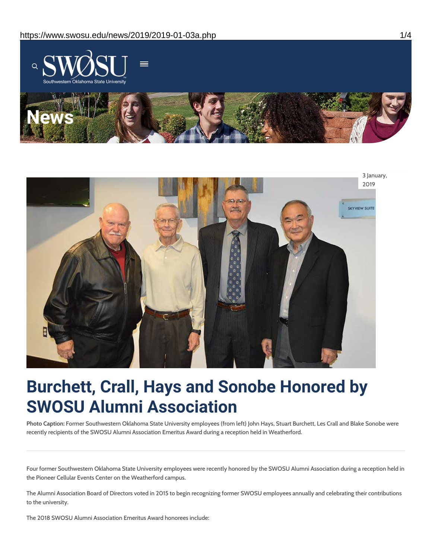



## **Burchett, Crall, Hays and Sonobe Honored by SWOSU Alumni Association**

**Photo Caption:** Former Southwestern Oklahoma State University employees (from left) John Hays, Stuart Burchett, Les Crall and Blake Sonobe were recently recipients of the SWOSU Alumni Association Emeritus Award during a reception held in Weatherford.

Four former Southwestern Oklahoma State University employees were recently honored by the SWOSU Alumni Association during a reception held in the Pioneer Cellular Events Center on the Weatherford campus.

The Alumni Association Board of Directors voted in 2015 to begin recognizing former SWOSU employees annually and celebrating their contributions to the university.

The 2018 SWOSU Alumni Association Emeritus Award honorees include: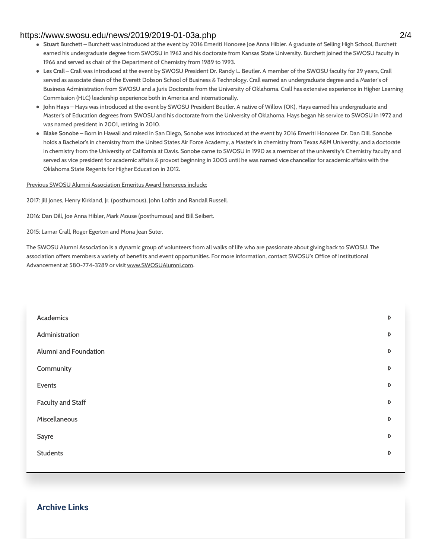#### https://www.swosu.edu/news/2019/2019-01-03a.php 2/4

- **Stuart Burchett** Burchett was introduced at the event by 2016 Emeriti Honoree Joe Anna Hibler. A graduate of Seiling High School, Burchett earned his undergraduate degree from SWOSU in 1962 and his doctorate from Kansas State University. Burchett joined the SWOSU faculty in 1966 and served as chair of the Department of Chemistry from 1989 to 1993.
- **Les Crall** Crall was introduced at the event by SWOSU President Dr. Randy L. Beutler. A member of the SWOSU faculty for 29 years, Crall served as associate dean of the Everett Dobson School of Business & Technology. Crall earned an undergraduate degree and a Master's of Business Administration from SWOSU and a Juris Doctorate from the University of Oklahoma. Crall has extensive experience in Higher Learning Commission (HLC) leadership experience both in America and internationally.
- **John Hays** Hays was introduced at the event by SWOSU President Beutler. A native of Willow (OK), Hays earned his undergraduate and Master's of Education degrees from SWOSU and his doctorate from the University of Oklahoma. Hays began his service to SWOSU in 1972 and was named president in 2001, retiring in 2010.
- **Blake Sonobe –** Born in Hawaii and raised in San Diego, Sonobe was introduced at the event by 2016 Emeriti Honoree Dr. Dan Dill. Sonobe holds a Bachelor's in chemistry from the United States Air Force Academy, a Master's in chemistry from Texas A&M University, and a doctorate in chemistry from the University of California at Davis. Sonobe came to SWOSU in 1990 as a member of the university's Chemistry faculty and served as vice president for academic affairs & provost beginning in 2005 until he was named vice chancellor for academic affairs with the Oklahoma State Regents for Higher Education in 2012.

#### Previous SWOSU Alumni Association Emeritus Award honorees include:

2017: Jill Jones, Henry Kirkland, Jr. (posthumous), John Loftin and Randall Russell.

2016: Dan Dill, Joe Anna Hibler, Mark Mouse (posthumous) and Bill Seibert.

2015: Lamar Crall, Roger Egerton and Mona Jean Suter.

The SWOSU Alumni Association is a dynamic group of volunteers from all walks of life who are passionate about giving back to SWOSU. The association offers members a variety of benefits and event opportunities. For more information, contact SWOSU's Office of Institutional Advancement at 580-774-3289 or visit www.SWOSUAlumni.com.

| Academics                | $\triangleright$ |
|--------------------------|------------------|
| Administration           | $\mathsf D$      |
| Alumni and Foundation    | $\triangleright$ |
| Community                | $\mathsf D$      |
| Events                   | $\triangleright$ |
| <b>Faculty and Staff</b> | D                |
| Miscellaneous            | D                |
| Sayre                    | D                |
| <b>Students</b>          | D                |
|                          |                  |

#### **Archive Links**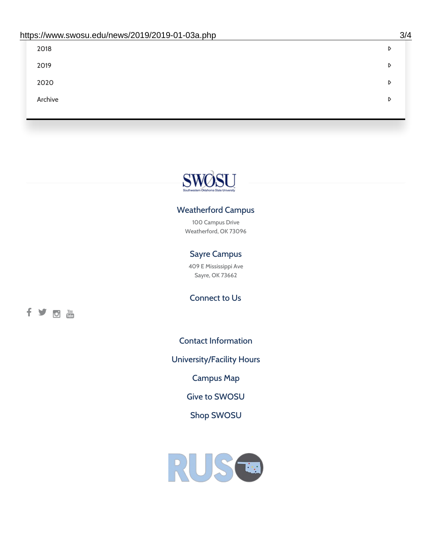| 2018    | D |
|---------|---|
| 2019    | D |
| 2020    | D |
| Archive | D |
|         |   |

# SWOSU

#### Weatherford Campus

100 Campus Drive Weatherford, OK 73096

#### Sayre Campus

409 E Mississippi Ave Sayre, OK 73662

fyom

Connect to Us

Contact [Information](https://www.swosu.edu/about/contact.php)

[University/Facility](https://www.swosu.edu/about/operating-hours.php) Hours

[Campus](https://map.concept3d.com/?id=768#!ct/10964,10214,10213,10212,10205,10204,10203,10202,10136,10129,10128,0,31226,10130,10201,10641,0) Map

Give to [SWOSU](https://standingfirmly.com/donate)

Shop [SWOSU](https://shopswosu.merchorders.com/)